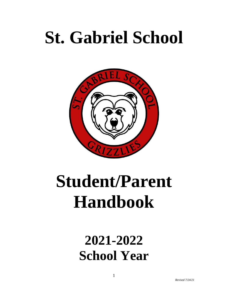# **St. Gabriel School**



# **Student/Parent Handbook**

# **2021-2022 School Year**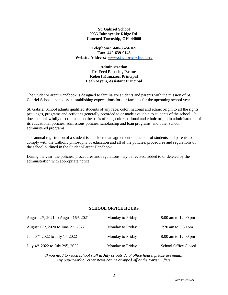#### **St. Gabriel School 9935 Johnnycake Ridge Rd. Concord Township, OH 44060**

**Telephone: 440-352-6169 Fax: 440-639-0143 Website Address: [www.st-gabrielschool.org](http://www.st-gabrielschool.org/)**

# **Administration Fr. Fred Pausche, Pastor Robert Kumazec, Principal Leah Myers, Assistant Principal**

The Student-Parent Handbook is designed to familiarize students and parents with the mission of St. Gabriel School and to assist establishing expectations for our families for the upcoming school year.

St. Gabriel School admits qualified students of any race, color, national and ethnic origin to all the rights privileges, programs and activities generally accorded to or made available to students of the school. It does not unlawfully discriminate on the basis of race, color, national and ethnic origin in administration of its educational policies, admissions policies, scholarship and loan programs, and other school administered programs.

The annual registration of a student is considered an agreement on the part of students and parents to comply with the Catholic philosophy of education and all of the policies, procedures and regulations of the school outlined in the Student-Parent Handbook.

During the year, the policies, procedures and regulations may be revised, added to or deleted by the administration with appropriate notice.

# **SCHOOL OFFICE HOURS**

| August $2^{nd}$ , 2021 to August 16 <sup>th</sup> , 2021    | Monday to Friday | 8:00 am to 12:00 pm          |
|-------------------------------------------------------------|------------------|------------------------------|
| August 17 <sup>th</sup> , 2020 to June $2nd$ , 2022         | Monday to Friday | 7:20 am to $3:30 \text{ pm}$ |
| June $3^{\text{rd}}$ , 2022 to July 1st, 2022               | Monday to Friday | 8:00 am to 12:00 pm          |
| July 4 <sup>th</sup> , 2022 to July 29 <sup>th</sup> , 2022 | Monday to Friday | <b>School Office Closed</b>  |

*If you need to reach school staff in July or outside of office hours, please use email. Any paperwork or other items can be dropped off at the Parish Office.*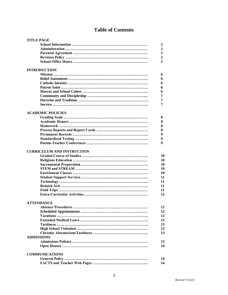# **Table of Contents**

| <b>TITLE PAGE</b>        |                                   |                |
|--------------------------|-----------------------------------|----------------|
|                          |                                   | 2              |
|                          |                                   | 2              |
|                          |                                   | 2              |
|                          |                                   | $\overline{2}$ |
|                          |                                   | $\mathbf{2}$   |
|                          |                                   |                |
| <b>INTRODUCTION</b>      |                                   |                |
|                          |                                   | 6              |
|                          |                                   | 6              |
|                          |                                   | 6              |
|                          |                                   | 6              |
|                          |                                   | 6              |
|                          |                                   | 7              |
|                          |                                   | 7              |
|                          |                                   | 7              |
|                          |                                   |                |
| <b>ACADEMIC POLICIES</b> |                                   |                |
|                          |                                   | 8              |
|                          |                                   | 8              |
|                          |                                   | 8              |
|                          |                                   | 8              |
|                          |                                   | 9              |
|                          |                                   | 9              |
|                          |                                   | 9              |
|                          |                                   |                |
|                          | <b>CURRICULUM AND INSTRUCTION</b> |                |
|                          |                                   | 10             |
|                          |                                   | 10             |
|                          |                                   | 10             |
|                          |                                   | 10             |
|                          |                                   | 10             |
|                          |                                   | 11             |
|                          |                                   | 11             |
|                          |                                   |                |
|                          |                                   | 11             |
|                          |                                   | 11             |
|                          |                                   | 12             |
|                          |                                   |                |
| <b>ATTENDANCE</b>        |                                   |                |
|                          |                                   | 12             |
|                          |                                   | 12             |
|                          |                                   | 12             |
|                          |                                   | 13             |
|                          |                                   | 13             |
|                          |                                   | 13             |
|                          |                                   | 13             |
| <b>ADMISSIONS</b>        |                                   |                |
|                          |                                   | 13             |
|                          |                                   | 14             |
|                          |                                   |                |
| <b>COMMUNICATIONS</b>    |                                   |                |
|                          |                                   | 14             |
|                          |                                   | 14             |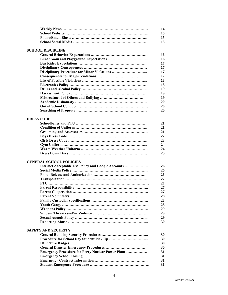|                   |                                                           | 14 |
|-------------------|-----------------------------------------------------------|----|
|                   |                                                           | 15 |
|                   |                                                           | 15 |
|                   |                                                           | 15 |
|                   | <b>SCHOOL DISCIPLINE</b>                                  |    |
|                   |                                                           | 16 |
|                   |                                                           | 16 |
|                   |                                                           | 17 |
|                   |                                                           | 17 |
|                   |                                                           | 17 |
|                   |                                                           | 17 |
|                   |                                                           | 18 |
|                   |                                                           | 18 |
|                   |                                                           | 19 |
|                   |                                                           | 19 |
|                   |                                                           | 19 |
|                   |                                                           | 20 |
|                   |                                                           | 20 |
|                   |                                                           | 20 |
|                   |                                                           |    |
| <b>DRESS CODE</b> |                                                           |    |
|                   |                                                           | 21 |
|                   |                                                           | 21 |
|                   |                                                           | 21 |
|                   |                                                           | 22 |
|                   |                                                           | 23 |
|                   |                                                           | 24 |
|                   |                                                           | 24 |
|                   |                                                           | 25 |
|                   | <b>GENERAL SCHOOL POLICIES</b>                            |    |
|                   | Internet Acceptable Use Policy and Google Accounts        | 26 |
|                   |                                                           | 26 |
|                   |                                                           | 26 |
|                   |                                                           | 27 |
|                   |                                                           | 27 |
|                   |                                                           | 27 |
|                   |                                                           | 27 |
|                   |                                                           | 28 |
|                   |                                                           | 28 |
|                   |                                                           | 28 |
|                   |                                                           | 29 |
|                   |                                                           | 29 |
|                   |                                                           | 29 |
|                   |                                                           | 30 |
|                   | <b>SAFETY AND SECURITY</b>                                |    |
|                   |                                                           | 30 |
|                   |                                                           | 30 |
|                   |                                                           | 30 |
|                   |                                                           | 30 |
|                   | <b>Emergency Procedure for Perry Nuclear Power Plant </b> | 31 |
|                   |                                                           | 31 |
|                   |                                                           | 31 |
|                   |                                                           | 31 |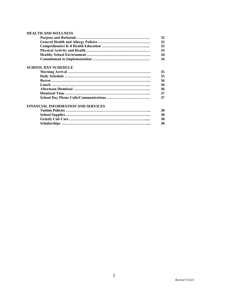# **HEALTH AND WELLNESS**

|                                           | 32 |
|-------------------------------------------|----|
|                                           | 32 |
|                                           | 33 |
|                                           | 33 |
|                                           | 34 |
|                                           | 34 |
| <b>SCHOOL DAY SCHEDULE</b>                |    |
|                                           | 35 |
|                                           | 35 |
|                                           | 36 |
|                                           | 36 |
|                                           | 36 |
|                                           | 37 |
|                                           | 37 |
| <b>FINANCIAL INFORMATION AND SERVICES</b> |    |

#### **Tuition Policies …………………………………………………………... 38 School Supplies ………………………………………………………….. 38 Grizzly Cub Care ……………………………………………………....... 38 Scholarships …………………………………………………………….... 38**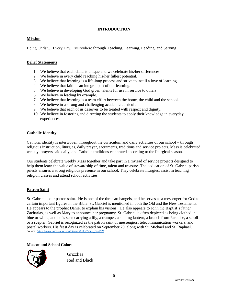# **INTRODUCTION**

# **Mission**

Being Christ… Every Day, Everywhere through Teaching, Learning, Leading, and Serving

# **Belief Statements**

- 1. We believe that each child is unique and we celebrate his/her differences.
- 2. We believe in every child reaching his/her fullest potential.
- 3. We believe that learning is a life-long process and strive to instill a love of learning.
- 4. We believe that faith is an integral part of our learning.
- 5. We believe in developing God given talents for use in service to others.
- 6. We believe in leading by example.
- 7. We believe that learning is a team effort between the home, the child and the school.
- 8. We believe in a strong and challenging academic curriculum.
- 9. We believe that each of us deserves to be treated with respect and dignity.
- 10. We believe in fostering and directing the students to apply their knowledge in everyday experiences.

# **Catholic Identity**

Catholic identity is interwoven throughout the curriculum and daily activities of our school – through religious instruction, liturgies, daily prayer, sacraments, traditions and service projects. Mass is celebrated weekly, prayers said daily, and Catholic traditions celebrated according to the liturgical season.

Our students celebrate weekly Mass together and take part in a myriad of service projects designed to help them learn the value of stewardship of time, talent and treasure. The dedication of St. Gabriel parish priests ensures a strong religious presence in our school. They celebrate liturgies, assist in teaching religion classes and attend school activities.

# **Patron Saint**

St. Gabriel is our patron saint. He is one of the three archangels, and he serves as a messenger for God to certain important figures in the Bible. St. Gabriel is mentioned in both the Old and the New Testaments. He appears to the prophet Daniel to explain his visions. He also appears to John the Baptist's father Zacharias, as well as Mary to announce her pregnancy. St. Gabriel is often depicted as being clothed in blue or white, and he is seen carrying a lily, a trumpet, a shining lantern, a branch from Paradise, a scroll or a scepter. Gabriel is recognized as the patron saint of messengers, telecommunication workers, and postal workers. His feast day is celebrated on September 29, along with St. Michael and St. Raphael. *Source: [https://www.catholic.org/saints/saint.php?saint\\_id=279](https://www.catholic.org/saints/saint.php?saint_id=279)*

# **Mascot and School Colors**



Grizzlies Red and Black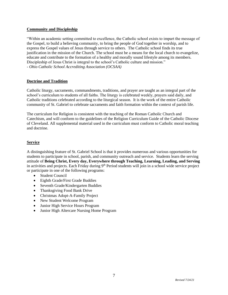# **Community and Discipleship**

"Within an academic setting committed to excellence, the Catholic school exists to impart the message of the Gospel, to build a believing community, to bring the people of God together in worship, and to express the Gospel values of Jesus through service to others. The Catholic school finds its true justification in the mission of the Church. The school must be a means for the local church to evangelize, educate and contribute to the formation of a healthy and morally sound lifestyle among its members. Discipleship of Jesus Christ is integral to the school's Catholic culture and mission." *- Ohio Catholic School Accrediting Association (OCSAA)*

# **Doctrine and Tradition**

Catholic liturgy, sacraments, commandments, traditions, and prayer are taught as an integral part of the school's curriculum to students of all faiths. The liturgy is celebrated weekly, prayers said daily, and Catholic traditions celebrated according to the liturgical season. It is the work of the entire Catholic community of St. Gabriel to celebrate sacraments and faith formation within the context of parish life.

The curriculum for Religion is consistent with the teaching of the Roman Catholic Church and Catechism, and will conform to the guidelines of the Religion Curriculum Guide of the Catholic Diocese of Cleveland. All supplemental material used in the curriculum must conform to Catholic moral teaching and doctrine.

# **Service**

A distinguishing feature of St. Gabriel School is that it provides numerous and various opportunities for students to participate in school, parish, and community outreach and service. Students learn the serving attitude of **Being Christ, Every day, Everywhere through Teaching, Learning, Leading, and Serving** in activities and projects. Each Friday during 9<sup>th</sup> Period students will join in a school wide service project or participate in one of the following programs:

- Student Council
- Eighth Grade/First Grade Buddies
- Seventh Grade/Kindergarten Buddies
- Thanksgiving Food Bank Drive
- Christmas Adopt-A-Family Project
- New Student Welcome Program
- Junior High Service Hours Program
- Junior High Altercare Nursing Home Program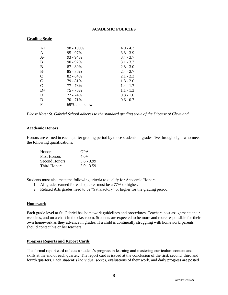# **ACADEMIC POLICIES**

#### **Grading Scale**

| $A+$      | $98 - 100\%$  | $4.0 - 4.3$ |
|-----------|---------------|-------------|
| A         | $95 - 97\%$   | $3.8 - 3.9$ |
| $A -$     | $93 - 94\%$   | $3.4 - 3.7$ |
| $B+$      | $90 - 92\%$   | $3.1 - 3.3$ |
| B         | 87 - 89%      | $2.8 - 3.0$ |
| $B -$     | 85 - 86%      | $2.4 - 2.7$ |
| $C_{\pm}$ | 82 - 84%      | $2.1 - 2.3$ |
| C         | 79 - 81%      | $1.8 - 2.0$ |
| $C-$      | 77 - 78%      | $1.4 - 1.7$ |
| $D+$      | 75 - 76%      | $1.1 - 1.3$ |
| D         | 72 - 74%      | $0.8 - 1.0$ |
| $D-$      | 70 - 71%      | $0.6 - 0.7$ |
| F         | 69% and below |             |

*Please Note: St. Gabriel School adheres to the standard grading scale of the Diocese of Cleveland.*

#### **Academic Honors**

Honors are earned in each quarter grading period by those students in grades five through eight who meet the following qualifications:

| <b>Honors</b>       | <b>GPA</b>   |
|---------------------|--------------|
| <b>First Honors</b> | $4.0+$       |
| Second Honors       | $3.6 - 3.99$ |
| Third Honors        | $3.0 - 3.59$ |

Students must also meet the following criteria to qualify for Academic Honors:

- 1. All grades earned for each quarter must be a 77% or higher.
- 2. Related Arts grades need to be "Satisfactory" or higher for the grading period.

# **Homework**

Each grade level at St. Gabriel has homework guidelines and procedures. Teachers post assignments their websites, and on a chart in the classroom. Students are expected to be more and more responsible for their own homework as they advance in grades. If a child is continually struggling with homework, parents should contact his or her teachers.

#### **Progress Reports and Report Cards**

The formal report card reflects a student's progress in learning and mastering curriculum content and skills at the end of each quarter. The report card is issued at the conclusion of the first, second, third and fourth quarters. Each student's individual scores, evaluations of their work, and daily progress are posted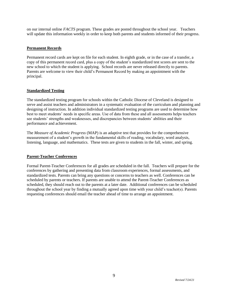on our internal online *FACTS* program. These grades are posted throughout the school year. Teachers will update this information weekly in order to keep both parents and students informed of their progress.

# **Permanent Records**

Permanent record cards are kept on file for each student. In eighth grade, or in the case of a transfer, a copy of this permanent record card, plus a copy of the student's standardized test scores are sent to the new school to which the student is applying. School records are never released directly to parents. Parents are welcome to view their child's Permanent Record by making an appointment with the principal.

# **Standardized Testing**

The standardized testing program for schools within the Catholic Diocese of Cleveland is designed to serve and assist teachers and administrators in a systematic evaluation of the curriculum and planning and designing of instruction. In addition individual standardized testing programs are used to determine how best to meet students' needs in specific areas. Use of data from these and all assessments helps teachers see students' strengths and weaknesses, and discrepancies between students' abilities and their performance and achievement.

The *Measure of Academic Progress* (MAP) is an adaptive test that provides for the comprehensive measurement of a student's growth in the fundamental skills of reading, vocabulary, word analysis, listening, language, and mathematics. These tests are given to students in the fall, winter, and spring.

# **Parent-Teacher Conferences**

Formal Parent-Teacher Conferences for all grades are scheduled in the fall. Teachers will prepare for the conferences by gathering and presenting data from classroom experiences, formal assessments, and standardized tests. Parents can bring any questions or concerns to teachers as well. Conferences can be scheduled by parents or teachers. If parents are unable to attend the Parent-Teacher Conferences as scheduled, they should reach out to the parents at a later date. Additional conferences can be scheduled throughout the school year by finding a mutually agreed upon time with your child's teacher(s). Parents requesting conferences should email the teacher ahead of time to arrange an appointment.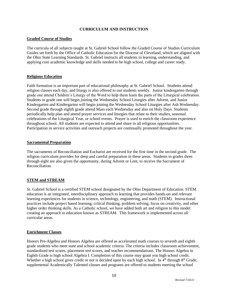# **CURRICULUM AND INSTRUCTION**

# **Graded Course of Studies**

The curricula of all subjects taught at St. Gabriel School follow the Graded Course of Studies Curriculum Guides set forth by the Office of Catholic Education for the Diocese of Cleveland, which are aligned with the Ohio State Learning Standards. St. Gabriel instructs all students in learning, understanding, and applying core academic knowledge and skills needed to be high school, college and career ready.

# **Religious Education**

Faith formation is an important part of educational philosophy at St. Gabriel School. Students attend religion classes each day, and liturgy is also offered to our students weekly. Junior kindergarten through grade one attend Children's Liturgy of the Word to help them learn the parts of the Liturgical celebration. Students in grade one will begin joining the Wednesday School Liturgies after Advent, and Junior Kindergarten and Kindergarten will begin joining the Wednesday School Liturgies after Ash Wednesday. Second grade through eighth grade attend Mass each Wednesday and also on Holy Days. Students periodically help plan and attend prayer services and liturgies that relate to their studies, seasonal celebrations of the Liturgical Year, or school events. Prayer is used to enrich the classroom experience throughout school. All students are expected to attend and share in all religious opportunities. Participation in service activities and outreach projects are continually promoted throughout the year.

# **Sacramental Preparation**

The sacraments of Reconciliation and Eucharist are received for the first time in the second grade. The religion curriculum provides for deep and careful preparation in these areas. Students in grades three through eight are also given the opportunity, during Advent or Lent, to receive the Sacrament of Reconciliation.

# **STEM and STREAM**

St. Gabriel School is a certified STEM school designated by the Ohio Department of Education. STEM education is an integrated, interdisciplinary approach to learning that provides hands-on and relevant learning experiences for students in science, technology, engineering, and math (STEM). Instructional practices include project based learning, critical thinking, problem solving, focus on creativity, and other higher order thinking skills. As a Catholic school, we have added both art and religion to this model creating an approach to education known as STREAM. This framework is implemented across all curricular areas.

# **Enrichment Classes**

Honors Pre-Algebra and Honors Algebra are offered as accelerated math courses to seventh and eighth grade students who meet state and school academic criteria. The criteria includes classroom achievement, standardized test scores, placement test scores, and teacher recommendations. The Honors Algebra in Eighth Grade is high school Algebra I. Completion of this course may grant you high school credit. Whether a high school gives credit or not is decided upon by each high school. In 4<sup>th</sup> through 8<sup>th</sup> Grade, supplemental Academically Talented classes and programs are offered to students meeting the school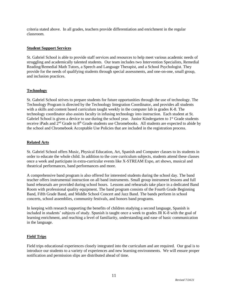criteria stated above. In all grades, teachers provide differentiation and enrichment in the regular classroom.

# **Student Support Services**

St. Gabriel School is able to provide staff services and resources to help meet various academic needs of struggling and academically talented students. Our team includes two Intervention Specialists, Remedial Reading/Remedial Math Tutors, a Speech and Language Therapist, and a School Psychologist. They provide for the needs of qualifying students through special assessments, and one-on-one, small group, and inclusion practices.

# **Technology**

St. Gabriel School strives to prepare students for future opportunities through the use of technology. The Technology Program is directed by the Technology Integration Coordinator*,* and provides all students with a skills and content based curriculum taught weekly in the computer lab in grades K-8. The technology coordinator also assists faculty in infusing technology into instruction. Each student at St. Gabriel School is given a device to use during the school year. Junior Kindergarten to 1<sup>st</sup> Grade students receive iPads and 2nd Grade to 8th Grade students use Chromebooks. All students are expected to abide by the school and Chromebook Acceptable Use Policies that are included in the registration process.

# **Related Arts**

St. Gabriel School offers Music, Physical Education, Art, Spanish and Computer classes to its students in order to educate the whole child. In addition to the core curriculum subjects, students attend these classes once a week and participate in extra-curricular events like X-STREAM Expo, art shows, musical and theatrical performances, band performances and more.

A comprehensive band program is also offered for interested students during the school day. The band teacher offers instrumental instruction on all band instruments. Small group instrument lessons and full band rehearsals are provided during school hours. Lessons and rehearsals take place in a dedicated Band Room with professional quality equipment. The band program consists of the Fourth Grade Beginning Band, Fifth Grade Band, and Middle School Concert and Jazz Band. The bands perform in school concerts, school assemblies, community festivals, and honors band programs.

In keeping with research supporting the benefits of children studying a second language, Spanish is included in students' subjects of study. Spanish is taught once a week to grades JR K-8 with the goal of learning enrichment, and reaching a level of familiarity, understanding and ease of basic communication in the language.

# **Field Trips**

Field trips educational experiences closely integrated into the curriculum and are required. Our goal is to introduce our students to a variety of experiences and new learning environments. We will ensure proper notification and permission slips are distributed ahead of time.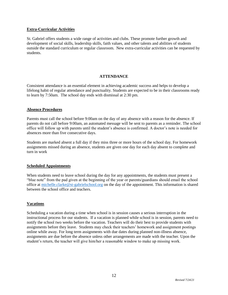# **Extra-Curricular Activities**

St. Gabriel offers students a wide range of activities and clubs. These promote further growth and development of social skills, leadership skills, faith values, and other talents and abilities of students outside the standard curriculum or regular classroom. New extra-curricular activities can be requested by students.

# **ATTENDANCE**

Consistent attendance is an essential element in achieving academic success and helps to develop a lifelong habit of regular attendance and punctuality. Students are expected to be in their classrooms ready to learn by 7:50am. The school day ends with dismissal at 2:30 pm.

# **Absence Procedures**

Parents must call the school before 9:00am on the day of any absence with a reason for the absence. If parents do not call before 9:00am, an automated message will be sent to parents as a reminder. The school office will follow up with parents until the student's absence is confirmed. A doctor's note is needed for absences more than five consecutive days.

Students are marked absent a full day if they miss three or more hours of the school day. For homework assignments missed during an absence, students are given one day for each day absent to complete and turn in work

# **Scheduled Appointments**

When students need to leave school during the day for any appointments, the students must present a "blue note" from the pad given at the beginning of the year or parents/guardians should email the school office at [michelle.clarke@st-gabrielschool.org](mailto:michelle.clarke@st-gabrielschool.org) on the day of the appointment. This information is shared between the school office and teachers.

# **Vacations**

Scheduling a vacation during a time when school is in session causes a serious interruption in the instructional process for our students. If a vacation is planned while school is in session, parents need to notify the school two weeks before the vacation. Teachers will do their best to provide students with assignments before they leave. Students may check their teachers' homework and assignment postings online while away. For long term assignments with due dates during planned non-illness absence, assignments are due before the absence unless other arrangements are made with the teacher. Upon the student's return, the teacher will give him/her a reasonable window to make up missing work.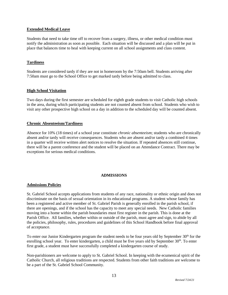# **Extended Medical Leave**

Students that need to take time off to recover from a surgery, illness, or other medical condition must notify the administration as soon as possible. Each situation will be discussed and a plan will be put in place that balances time to heal with keeping current on all school assignments and class content.

# **Tardiness**

Students are considered tardy if they are not in homeroom by the 7:50am bell. Students arriving after 7:50am must go to the School Office to get marked tardy before being admitted to class.

# **High School Visitation**

Two days during the first semester are scheduled for eighth grade students to visit Catholic high schools in the area, during which participating students are not counted absent from school. Students who wish to visit any other prospective high school on a day in addition to the scheduled day will be counted absent.

# **Chronic Absenteeism/Tardiness**

Absence for 10% (18 times) of a school year constitute *chronic absenteeism*; students who are chronically absent and/or tardy will receive consequences. Students who are absent and/or tardy a combined 4 times in a quarter will receive written alert notices to resolve the situation. If repeated absences still continue, there will be a parent conference and the student will be placed on an Attendance Contract. There may be exceptions for serious medical conditions.

# **ADMISSIONS**

# **Admissions Policies**

St. Gabriel School accepts applications from students of any race, nationality or ethnic origin and does not discriminate on the basis of sexual orientation in its educational programs. A student whose family has been a registered and active member of St. Gabriel Parish is generally enrolled in the parish school, if there are openings, and if the school has the capacity to meet any special needs. New Catholic families moving into a home within the parish boundaries must first register in the parish. This is done at the Parish Office. All families, whether within or outside of the parish, must agree and sign, to abide by all the policies, philosophy, rules, procedures and guidelines of this School Handbook before final approval of acceptance.

To enter our Junior Kindergarten program the student needs to be four years old by September 30<sup>th</sup> for the enrolling school year. To enter kindergarten, a child must be five years old by September 30<sup>th</sup>. To enter first grade, a student must have successfully completed a kindergarten course of study.

Non-parishioners are welcome to apply to St. Gabriel School. In keeping with the ecumenical spirit of the Catholic Church, all religious traditions are respected. Students from other faith traditions are welcome to be a part of the St. Gabriel School Community.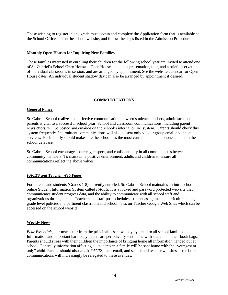Those wishing to register in any grade must obtain and complete the Application form that is available at the School Office and on the school website, and follow the steps listed in the Admission Procedure.

#### **Monthly Open Houses for Inquiring New Families**

Those families interested in enrolling their children for the following school year are invited to attend one of St. Gabriel's School Open Houses. Open Houses include a presentation, tour, and a brief observation of individual classrooms in session, and are arranged by appointment. See the website calendar for Open House dates. An individual student shadow day can also be arranged by appointment if desired.

# **COMMUNICATIONS**

#### **General Policy**

St. Gabriel School realizes that effective communication between students, teachers, administration and parents is vital to a successful school year. School and classroom communications, including parent newsletters, will be posted and emailed on the school's internal online system. Parents should check this system frequently. Intermittent communications will also be sent only via our group email and phone services. Each family should make sure the school has the most current email and phone contact in the school database.

St. Gabriel School encourages courtesy, respect, and confidentiality in all communicates between community members. To maintain a positive environment, adults and children to ensure all communications reflect the above values.

# *FACTS and Teacher Web Pages*

For parents and students (Grades 1-8) currently enrolled, St. Gabriel School maintains an intra-school online Student Information System called *FACTS.* It is a locked and password protected web site that communicates student progress data, and the ability to communicate with all school staff and organizations through email. Teachers and staff post schedules, student assignments, curriculum maps, grade level policies and pertinent classroom and school news on Teacher Google Web Sites which can be accessed on the school website.

# **Weekly News**

*Bear Essentials,* our newsletter from the principal is sent weekly by email to all school families. Information and important hard copy papers are periodically sent home with students in their book bags. Parents should stress with their children the importance of bringing home all information handed out at school. Generally information affecting all students in a family will be sent home with the "youngest or only" child. Parents should also check *FACTS,* their email, and school and teacher websites as the bulk of communications will increasingly be relegated to these avenues.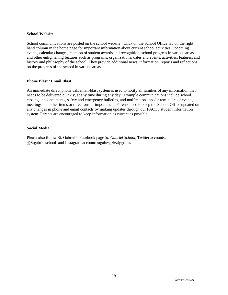# **School Website**

School communications are posted on the school website. Click on the School Office tab on the right hand column in the home page for important information about current school activities, upcoming events, calendar changes, mention of student awards and recognition, school progress in various areas, and other enlightening features such as programs, organizations, dates and events, activities, features, and history and philosophy of the school. They provide additional news, information, reports and reflections on the progress of the school in various areas.

# **Phone Blast / Email Blast**

An immediate direct phone call/email-blast system is used to notify all families of any information that needs to be delivered quickly, at any time during any day. Example communications include school closing announcements, safety and emergency bulletins, and notifications and/or reminders of events, meetings and other items or directions of importance. Parents need to keep the School Office updated on any changes in phone and email contacts by making updates through our FACTS student information system. Parents are encouraged to keep information as current as possible.

# **Social Media**

Please also follow St. Gabriel's Facebook page *St. Gabriel School*, Twitter accounts: @Stgabrielschool1and Instagram account: **[stgabesgrizzlygram](https://www.instagram.com/stgabesgrizzlygram/).**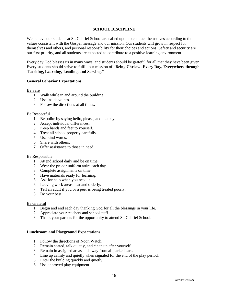# **SCHOOL DISCIPLINE**

We believe our students at St. Gabriel School are called upon to conduct themselves according to the values consistent with the Gospel message and our mission. Our students will grow in respect for themselves and others, and personal responsibility for their choices and actions. Safety and security are our first priority, and all students are expected to contribute to a positive learning environment.

Every day God blesses us in many ways, and students should be grateful for all that they have been given. Every students should strive to fulfill our mission of **"Being Christ… Every Day, Everywhere through Teaching, Learning, Leading, and Serving."**

# **General Behavior Expectations**

Be Safe

- 1. Walk while in and around the building.
- 2. Use inside voices.
- 3. Follow the directions at all times.

#### Be Respectful

- 1. Be polite by saying hello, please, and thank you.
- 2. Accept individual differences.
- 3. Keep hands and feet to yourself.
- 4. Treat all school property carefully.
- 5. Use kind words.
- 6. Share with others.
- 7. Offer assistance to those in need.

#### Be Responsible

- 1. Attend school daily and be on time.
- 2. Wear the proper uniform attire each day.
- 3. Complete assignments on time.
- 4. Have materials ready for learning.
- 5. Ask for help when you need it.
- 6. Leaving work areas neat and orderly.
- 7. Tell an adult if you or a peer is being treated poorly.
- 8. Do your best.

#### Be Grateful

- 1. Begin and end each day thanking God for all the blessings in your life.
- 2. Appreciate your teachers and school staff.
- 3. Thank your parents for the opportunity to attend St. Gabriel School.

#### **Lunchroom and Playground Expectations**

- 1. Follow the directions of Noon Watch.
- 2. Remain seated, talk quietly, and clean up after yourself.
- 3. Remain in assigned areas and away from all parked cars.
- 4. Line up calmly and quietly when signaled for the end of the play period.
- 5. Enter the building quickly and quietly.
- 6. Use approved play equipment.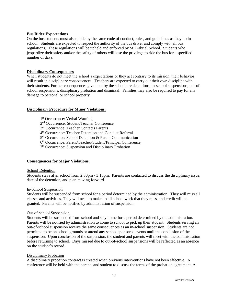# **Bus Rider Expectations**

On the bus students must also abide by the same code of conduct, rules, and guidelines as they do in school. Students are expected to respect the authority of the bus driver and comply with all bus regulations. These regulations will be upheld and enforced by St. Gabriel School. Students who jeopardize their safety and/or the safety of others will lose the privilege to ride the bus for a specified number of days.

# **Disciplinary Consequences**

When students do not meet the school's expectations or they act contrary to its mission, their behavior will result in disciplinary consequences. Teachers are expected to carry out their own discipline with their students. Further consequences given out by the school are detentions, in-school suspensions, out-ofschool suspensions, disciplinary probation and dismissal. Families may also be required to pay for any damage to personal or school property.

# **Disciplinary Procedure for Minor Violations**:

- 1<sup>st</sup> Occurrence: Verbal Warning
- 2 nd Occurrence: Student/Teacher Conference
- 3 rd Occurrence: Teacher Contacts Parents
- 4 th Occurrence: Teacher Detention and Conduct Referral
- 5<sup>th</sup> Occurrence: School Detention & Parent Communication
- 6 th Occurrence: Parent/Teacher/Student/Principal Conference
- 7<sup>th</sup> Occurrence: Suspension and Disciplinary Probation

# **Consequences for Major Violations**:

# School Detention

Students stays after school from 2:30pm - 3:15pm. Parents are contacted to discuss the disciplinary issue, date of the detention, and plan moving forward.

# In-School Suspension

Students will be suspended from school for a period determined by the administration. They will miss all classes and activities. They will need to make up all school work that they miss, and credit will be granted. Parents will be notified by administration of suspension.

# Out-of-school Suspension

Students will be suspended from school and stay home for a period determined by the administration. Parents will be notified by administration to come to school to pick up their student. Students serving an out-of-school suspension receive the same consequences as an in-school suspension. Students are not permitted to be on school grounds or attend any school sponsored events until the conclusion of the suspension. Upon conclusion of the suspension, the student and parents will meet with the administration before returning to school. Days missed due to out-of-school suspensions will be reflected as an absence on the student's record.

# Disciplinary Probation

A disciplinary probation contract is created when previous interventions have not been effective. A conference will be held with the parents and student to discuss the terms of the probation agreement. A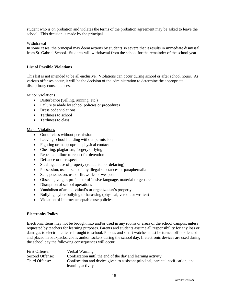student who is on probation and violates the terms of the probation agreement may be asked to leave the school. This decision is made by the principal.

#### Withdrawal

In some cases, the principal may deem actions by students so severe that it results in immediate dismissal from St. Gabriel School. Students will withdrawal from the school for the remainder of the school year.

#### **List of Possible Violations**

This list is not intended to be all-inclusive. Violations can occur during school or after school hours. As various offenses occur, it will be the decision of the administration to determine the appropriate disciplinary consequences.

#### Minor Violations

- Disturbance (yelling, running, etc.)
- Failure to abide by school policies or procedures
- Dress code violations
- Tardiness to school
- Tardiness to class

#### Major Violations

- Out of class without permission
- Leaving school building without permission
- Fighting or inappropriate physical contact
- Cheating, plagiarism, forgery or lying
- Repeated failure to report for detention
- Defiance or disrespect
- Stealing, abuse of property (vandalism or defacing)
- Possession, use or sale of any illegal substances or paraphernalia
- Sale, possession, use of fireworks or weapons
- Obscene, vulgar, profane or offensive language, material or gesture
- Disruption of school operations
- Vandalism of an individual's or organization's property
- Bullying, cyber bullying or harassing (physical, verbal, or written)
- Violation of Internet acceptable use policies

#### **Electronics Policy**

Electronic items may not be brought into and/or used in any rooms or areas of the school campus, unless requested by teachers for learning purposes. Parents and students assume all responsibility for any loss or damages to electronic items brought to school. Phones and smart watches must be turned off or silenced and placed in backpacks, coats, and/or lockers during the school day. If electronic devices are used during the school day the following consequences will occur:

| First Offense:  | Verbal Warning                                                                   |
|-----------------|----------------------------------------------------------------------------------|
| Second Offense: | Confiscation until the end of the day and learning activity                      |
| Third Offense:  | Confiscation and device given to assistant principal, parental notification, and |
|                 | learning activity                                                                |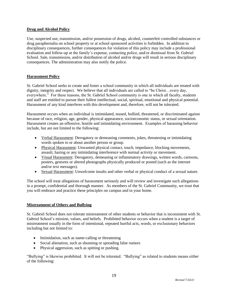# **Drug and Alcohol Policy**

Use, suspected use, transmission, and/or possession of drugs, alcohol, counterfeit controlled substances or drug paraphernalia on school property or at school sponsored activities is forbidden. In addition to disciplinary consequences, further consequences for violation of this policy may include a professional evaluation and follow-up at the family's expense, contacting police, and/or dismissal from St. Gabriel School. Sale, transmission, and/or distribution of alcohol and/or drugs will result in serious disciplinary consequences. The administration may also notify the police.

# **Harassment Policy**

St. Gabriel School seeks to create and foster a school community in which all individuals are treated with dignity, integrity and respect. We believe that all individuals are called to "be Christ...every day, everywhere." For these reasons, the St. Gabriel School community is one in which all faculty, students and staff are entitled to pursue their fullest intellectual, social, spiritual, emotional and physical potential. Harassment of any kind interferes with this development and, therefore, will not be tolerated.

Harassment occurs when an individual is intimidated, teased, bullied, threatened, or discriminated against because of race, religion, age, gender, physical appearance, socioeconomic status, or sexual orientation. Harassment creates an offensive, hostile and intimidating environment. Examples of harassing behavior include, but are not limited to the following:

- Verbal Harassment: Derogatory or demeaning comments, jokes, threatening or intimidating words spoken to or about another person or group.
- Physical Harassment: Unwanted physical contact, touch, impedance, blocking movements, assault, hazing or any intimidating interference with normal activity or movement.
- Visual Harassment: Derogatory, demeaning or inflammatory drawings, written words, cartoons, posters, gestures or altered photographs physically produced or posted (such as the internet and/or text messages).
- Sexual Harassment: Unwelcome insults and other verbal or physical conduct of a sexual nature.

The school will treat allegations of harassment seriously and will review and investigate such allegations in a prompt, confidential and thorough manner. As members of the St. Gabriel Community, we trust that you will embrace and practice these principles on campus and in your home.

# **Mistreatment of Others and Bullying**

St. Gabriel School does not tolerate mistreatment of other students or behavior that is inconsistent with St. Gabriel School's mission, values, and beliefs. Prohibited behavior occurs when a student is a target of mistreatment usually in the form of intentional, repeated hurtful acts, words, or exclusionary behaviors including but not limited to:

- Intimidation, such as name-calling or threatening
- Social alienation, such as shunning or spreading false rumors
- Physical aggression, such as spitting or pushing.

"Bullying" is likewise prohibited. It will not be tolerated. "Bullying" as related to students means either of the following: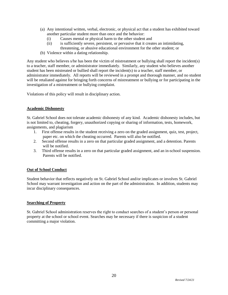- (a) Any intentional written, verbal, electronic, or physical act that a student has exhibited toward another particular student more than once and the behavior:
	- (i) Causes mental or physical harm to the other student and
	- (ii) is sufficiently severe, persistent, or pervasive that it creates an intimidating, threatening, or abusive educational environment for the other student; or
- (b) Violence within a dating relationship.

Any student who believes s/he has been the victim of mistreatment or bullying shall report the incident(s) to a teacher, staff member, or administrator immediately. Similarly, any student who believes another student has been mistreated or bullied shall report the incident(s) to a teacher, staff member, or administrator immediately. All reports will be reviewed in a prompt and thorough manner, and no student will be retaliated against for bringing forth concerns of mistreatment or bullying or for participating in the investigation of a mistreatment or bullying complaint.

Violations of this policy will result in disciplinary action.

# **Academic Dishonesty**

St. Gabriel School does not tolerate academic dishonesty of any kind. Academic dishonesty includes, but is not limited to, cheating, forgery, unauthorized copying or sharing of information, tests, homework, assignments, and plagiarism

- 1. First offense results in the student receiving a zero on the graded assignment, quiz, test, project, paper etc. on which the cheating occurred. Parents will also be notified.
- 2. Second offense results in a zero on that particular graded assignment, and a detention. Parents will be notified.
- 3. Third offense results in a zero on that particular graded assignment, and an in-school suspension. Parents will be notified.

# **Out of School Conduct**

Student behavior that reflects negatively on St. Gabriel School and/or implicates or involves St. Gabriel School may warrant investigation and action on the part of the administration. In addition, students may incur disciplinary consequences.

# **Searching of Property**

St. Gabriel School administration reserves the right to conduct searches of a student's person or personal property at the school or school event. Searches may be necessary if there is suspicion of a student committing a major violation.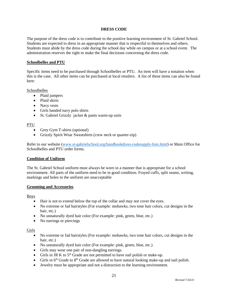# **DRESS CODE**

The purpose of the dress code is to contribute to the positive learning environment of St. Gabriel School. Students are expected to dress in an appropriate manner that is respectful to themselves and others. Students must abide by the dress code during the school day while on campus or at a school event. The administration reserves the right to make the final decisions concerning the dress code.

#### **Schoolbelles and PTU**

Specific items need to be purchased through Schoolbelles or PTU. An item will have a notation when this is the case. All other items can be purchased at local retailers. A list of these items can also be found here:

#### Schoolbelles

- Plaid jumpers
- Plaid skirts
- Navy vests
- Girls banded navy polo shirts
- St. Gabriel Grizzly jacket & pants warm-up suits

#### PTU

- Grey Gym T-shirts (optional)
- Grizzly Spirit Wear Sweatshirts (crew neck or quarter-zip)

Refer to our website [\(www.st-gabrielschool.org/handbookdress-codesupply-lists.html\)](https://www.st-gabrielschool.org/handbookdress-codesupply-lists.html) or Main Office for Schoolbelles and PTU order forms.

#### **Condition of Uniform**

The St. Gabriel School uniform must always be worn in a manner that is appropriate for a school environment. All parts of the uniform need to be in good condition. Frayed cuffs, split seams, writing, markings and holes in the uniform are unacceptable

#### **Grooming and Accessories**

Boys

- Hair is not to extend below the top of the collar and may not cover the eyes.
- No extreme or fad hairstyles (For example: mohawks, two tone hair colors, cut designs in the hair, etc.)
- No unnaturally dyed hair color (For example: pink, green, blue, etc.)
- No earrings or piercings

Girls

- No extreme or fad hairstyles (For example: mohawks, two tone hair colors, cut designs in the hair, etc.)
- No unnaturally dyed hair color (For example: pink, green, blue, etc.)
- Girls may wear one pair of non-dangling earrings.
- Girls in JR K to  $5<sup>th</sup>$  Grade are not permitted to have nail polish or make-up.
- Girls in  $6<sup>th</sup>$  Grade to  $8<sup>th</sup>$  Grade are allowed to have natural looking make-up and nail polish.
- Jewelry must be appropriate and not a distraction to the learning environment.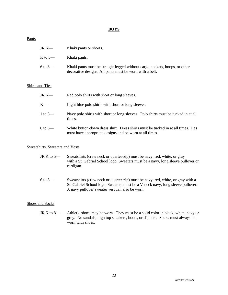# **BOYS**

#### **Pants**

| JR K—   | Khaki pants or shorts.                                                                                                                |
|---------|---------------------------------------------------------------------------------------------------------------------------------------|
| K to 5— | Khaki pants.                                                                                                                          |
| 6 to 8— | Khaki pants must be straight legged without cargo pockets, hoops, or other<br>decorative designs. All pants must be worn with a belt. |

#### Shirts and Ties

| JR K—   | Red polo shirts with short or long sleeves.                                                                                                 |
|---------|---------------------------------------------------------------------------------------------------------------------------------------------|
| K—      | Light blue polo shirts with short or long sleeves.                                                                                          |
| 1 to 5— | Navy polo shirts with short or long sleeves. Polo shirts must be tucked in at all<br>times.                                                 |
| 6 to 8— | White button-down dress shirt. Dress shirts must be tucked in at all times. Ties<br>must have appropriate designs and be worn at all times. |

#### Sweatshirts, Sweaters and Vests

| JR K to 5 $-$ | Sweatshirts (crew neck or quarter-zip) must be navy, red, white, or gray         |
|---------------|----------------------------------------------------------------------------------|
|               | with a St. Gabriel School logo. Sweaters must be a navy, long sleeve pullover or |
|               | cardigan.                                                                        |

6 to 8— Sweatshirts (crew neck or quarter-zip) must be navy, red, white, or gray with a St. Gabriel School logo. Sweaters must be a V-neck navy, long sleeve pullover. A navy pullover sweater vest can also be worn.

#### Shoes and Socks

JR K to 8— Athletic shoes may be worn. They must be a solid color in black, white, navy or grey. No sandals, high top sneakers, boots, or slippers. Socks must always be worn with shoes.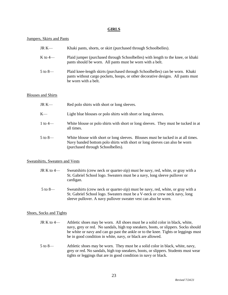#### **GIRLS**

#### Jumpers, Skirts and Pants

| $JR K$ —                  | Khaki pants, shorts, or skirt (purchased through Schoolbelles).                                                                                                                         |
|---------------------------|-----------------------------------------------------------------------------------------------------------------------------------------------------------------------------------------|
| K to $4-$                 | Plaid jumper (purchased through Schoolbelles) with length to the knee, or khaki<br>pants should be worn. All pants must be worn with a belt.                                            |
| $5$ to $8-$               | Plaid knee-length skirts (purchased through Schoolbelles) can be worn. Khaki<br>pants without cargo pockets, hoops, or other decorative designs. All pants must<br>be worn with a belt. |
| <b>Blouses and Shirts</b> |                                                                                                                                                                                         |
| JR $K-$                   | Red polo shirts with short or long sleeves.                                                                                                                                             |

- K— Light blue blouses or polo shirts with short or long sleeves.
- 1 to 4— White blouse or polo shirts with short or long sleeves. They must be tucked in at all times.
- 5 to 8— White blouse with short or long sleeves. Blouses must be tucked in at all times. Navy banded bottom polo shirts with short or long sleeves can also be worn (purchased through Schoolbelles).

# Sweatshirts, Sweaters and Vests

- JR K to 4— Sweatshirts (crew neck or quarter-zip) must be navy, red, white, or gray with a St. Gabriel School logo. Sweaters must be a navy, long sleeve pullover or cardigan.
- 5 to 8— Sweatshirts (crew neck or quarter-zip) must be navy, red, white, or gray with a St. Gabriel School logo. Sweaters must be a V-neck or crew neck navy, long sleeve pullover. A navy pullover sweater vest can also be worn.

# Shoes, Socks and Tights

- JR K to 4— Athletic shoes may be worn. All shoes must be a solid color in black, white, navy, grey or red. No sandals, high top sneakers, boots, or slippers. Socks should be white or navy and can go past the ankle or to the knee. Tights or leggings must be in good condition in white, navy, or black are allowed.
- 5 to 8— Athletic shoes may be worn. They must be a solid color in black, white, navy, grey or red. No sandals, high top sneakers, boots, or slippers. Students must wear tights or leggings that are in good condition in navy or black.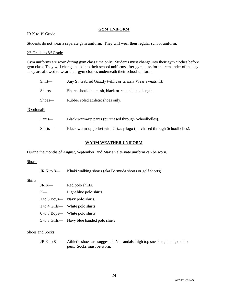#### **GYM UNIFORM**

# JR K to 1<sup>st</sup> Grade

Students do not wear a separate gym uniform. They will wear their regular school uniform.

#### 2<sup>nd</sup> Grade to 8<sup>th</sup> Grade

Gym uniforms are worn during gym class time only. Students must change into their gym clothes before gym class. They will change back into their school uniforms after gym class for the remainder of the day. They are allowed to wear their gym clothes underneath their school uniform.

| $Shirt$ —  | Any St. Gabriel Grizzly t-shirt or Grizzly Wear sweatshirt. |
|------------|-------------------------------------------------------------|
| $Shorts$ — | Shorts should be mesh, black or red and knee length.        |
| $Shoes$ —  | Rubber soled at hetic shoes only.                           |
| *Optional* |                                                             |
| Pants—     | Black warm-up pants (purchased through Schoolbelles).       |

# Shirts— Black warm-up jacket with Grizzly logo (purchased through Schoolbelles).

# **WARM WEATHER UNIFORM**

During the months of August, September, and May an alternate uniform can be worn.

# **Shorts**

JR K to 8— Khaki walking shorts (aka Bermuda shorts or golf shorts)

# Shirts

| $JR K$ — | Red polo shirts.                           |
|----------|--------------------------------------------|
| $K_{-}$  | Light blue polo shirts.                    |
|          | 1 to 5 Boys— Navy polo shirts.             |
|          | 1 to 4 Girls— White polo shirts            |
|          | 6 to 8 Boys— White polo shirts             |
|          | 5 to 8 Girls— Navy blue banded polo shirts |

# Shoes and Socks

JR K to 8— Athletic shoes are suggested. No sandals, high top sneakers, boots, or slip pers. Socks must be worn.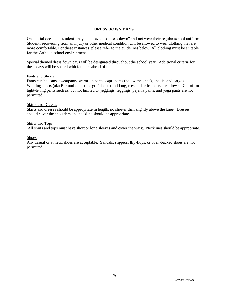# **DRESS DOWN DAYS**

On special occasions students may be allowed to "dress down" and not wear their regular school uniform. Students recovering from an injury or other medical condition will be allowed to wear clothing that are more comfortable. For these instances, please refer to the guidelines below. All clothing must be suitable for the Catholic school environment.

Special themed dress down days will be designated throughout the school year. Additional criteria for these days will be shared with families ahead of time.

#### Pants and Shorts

Pants can be jeans, sweatpants, warm-up pants, capri pants (below the knee), khakis, and cargos. Walking shorts (aka Bermuda shorts or golf shorts) and long, mesh athletic shorts are allowed. Cut-off or tight-fitting pants such as, but not limited to, jeggings, leggings, pajama pants, and yoga pants are not permitted.

#### Skirts and Dresses

Skirts and dresses should be appropriate in length, no shorter than slightly above the knee. Dresses should cover the shoulders and neckline should be appropriate.

#### Shirts and Tops

All shirts and tops must have short or long sleeves and cover the waist. Necklines should be appropriate.

#### Shoes

Any casual or athletic shoes are acceptable. Sandals, slippers, flip-flops, or open-backed shoes are not permitted.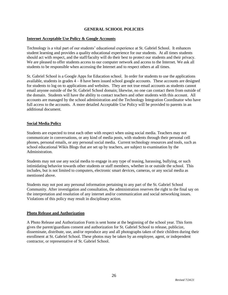# **GENERAL SCHOOL POLICIES**

# **Internet Acceptable Use Policy & Google Accounts**

Technology is a vital part of our students' educational experience at St. Gabriel School. It enhances student learning and provides a quality educational experience for our students. At all times students should act with respect, and the staff/faculty will do their best to protect our students and their privacy. We are pleased to offer students access to our computer network and access to the Internet. We ask all students to be responsible when accessing the Internet and to respect others at all times.

St. Gabriel School is a Google Apps for Education school. In order for students to use the applications available, students in grades  $4 - 8$  have been issued school google accounts. These accounts are designed for students to log on to applications and websites. They are not true email accounts as students cannot email anyone outside of the St. Gabriel School domain; likewise, no one can contact them from outside of the domain. Students will have the ability to contact teachers and other students with this account. All accounts are managed by the school administration and the Technology Integration Coordinator who have full access to the accounts. A more detailed Acceptable Use Policy will be provided to parents in an additional document.

# **Social Media Policy**

Students are expected to treat each other with respect when using social media. Teachers may not communicate in conversations, or any kind of media posts, with students through their personal cell phones, personal emails, or any personal social media. Current technology resources and tools, such as school educational Wikis Blogs that are set up by teachers, are subject to examination by the Administration.

Students may not use any social media to engage in any type of teasing, harassing, bullying, or such intimidating behavior towards other students or staff members, whether in or outside the school. This includes, but is not limited to computers, electronic smart devices, cameras, or any social media as mentioned above.

Students may not post any personal information pertaining to any part of the St. Gabriel School Community. After investigation and consultation, the administration reserves the right to the final say on the interpretation and resolution of any internet and/or communication and social networking issues. Violations of this policy may result in disciplinary action.

# **Photo Release and Authorization**

A Photo Release and Authorization Form is sent home at the beginning of the school year. This form gives the parent/guardians consent and authorization for St. Gabriel School to release, publicize, disseminate, distribute, use, and/or reproduce any and all photographs taken of their children during their enrollment at St. Gabriel School. These photos may be taken by an employee, agent, or independent contractor, or representative of St. Gabriel School.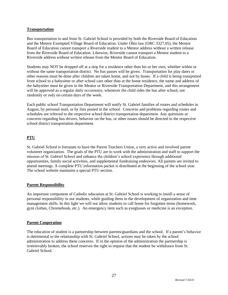# **Transportation**

Bus transportation to and from St. Gabriel School is provided by both the Riverside Board of Education and the Mentor Exempted Village Board of Education. Under Ohio law (ORC 3327.05), the Mentor Board of Education cannot transport a Riverside student to a Mentor address without a written release from the Riverside Board of Education. Likewise, Riverside cannot transport a Mentor student to a Riverside address without written release from the Mentor Board of Education.

Students may NOT be dropped off at a stop for a residence other than his or her own, whether within or without the same transportation district. No bus passes will be given. Transportation for play dates or other reasons must be done after children are taken home, and not by buses. If a child is being transported from school to a babysitter or after school care other than at the home residence, the name and address of the babysitter must be given to the Mentor or Riverside Transportation Department, and this arrangement will be approved as a regular daily occurrence, whenever the child rides the bus after school, not randomly or only on certain days of the week.

Each public school Transportation Department will notify St. Gabriel families of routes and schedules in August, by personal mail, or by lists posted in the school. Concerns and problems regarding routes and schedules are referred to the respective school district transportation department. Any questions or concerns regarding bus drivers, behavior on the bus, or other issues should be directed to the respective school district transportation department.

# **PTU**

St. Gabriel School is fortunate to have the Parent Teachers Union, a very active and involved parent volunteer organization. The goals of the PTU are to work with the administration and staff to support the mission of St. Gabriel School and enhance the children's school experience through additional opportunities, family social activities, and supplemental fundraising endeavors. All parents are invited to attend meetings. A complete PTU information packet is distributed at the beginning of the school year. The school website maintains a special PTU section.

# **Parent Responsibility**

An important component of Catholic education at St. Gabriel School is working to instill a sense of personal responsibility in our students, while guiding them in the development of organization and time management skills. In this light we will not allow students to call home for forgotten items (homework, gym clothes, Chromebook, etc.). An emergency item such as eyeglasses or medicine is an exception.

# **Parent Cooperation**

The education of student is a partnership between parents/guardians and the school. If a parent's behavior is detrimental to the relationship with St. Gabriel School, actions may be taken by the school administration to address these concerns. If in the opinion of the administration the partnership is irretrievably broken, the school reserves the right to request that the student be withdrawn from St. Gabriel School.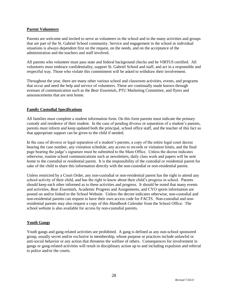# **Parent Volunteers**

Parents are welcome and invited to serve as volunteers in the school and in the many activities and groups that are part of the St. Gabriel School community. Service and engagement in the school in individual situations is always dependent first on the request, on the needs, and on the acceptance of the administration and the teachers and staff involved.

All parents who volunteer must pass state and federal background checks and be *VIRTUS* certified. All volunteers must embrace confidentiality, support St. Gabriel School and staff, and act in a responsible and respectful way. Those who violate this commitment will be asked to withdraw their involvement.

Throughout the year, there are many other various school and classroom activities, events, and programs that occur and need the help and service of volunteers. These are continually made known through avenues of communication such as the *Bear Essentials,* PTU Marketing Committee, and flyers and announcements that are sent home.

# **Family Custodial Specifications**

All families must complete a student information form. On this form parents must indicate the primary custody and residence of their student. In the case of pending divorce or separation of a student's parents, parents must inform and keep updated both the principal, school office staff, and the teacher of this fact so that appropriate support can be given to the child if needed.

In the case of divorce or legal separation of a student's parents, a copy of the entire legal court decree bearing the case number, any visitation schedule, any access to records or visitation limits, and the final page bearing the judge's signature must be submitted to the Main Office. Unless the decree indicates otherwise, routine school communications such as newsletters, daily class work and papers will be sent home to the custodial or residential parent. It is the responsibility of the custodial or residential parent for sake of the child to share this information directly with the non-custodial or non-residential parent.

Unless restricted by a Court Order, any non-custodial or non-residential parent has the right to attend any school activity of their child, and has the right to know about their child's progress in school. Parents should keep each other informed as to these activities and progress. It should be noted that many events and activities, *Bear Essentials*, Academic Progress and Assignments, and CYO sports information are posted on and/or linked to the School Website*.* Unless the decree indicates otherwise, non-custodial and non-residential parents can request to have their own access code for *FACTS.* Non-custodial and nonresidential parents may also request a copy of this *Handbook Calendar* from the School Office. The school website is also available for access by non-custodial parents.

# **Youth Gangs**

Youth gangs and gang-related activities are prohibited. A gang is defined as any non-school sponsored group, usually secret and/or exclusive in membership, whose purpose or practices include unlawful or anti-social behavior or any action that threatens the welfare of others. Consequences for involvement in gangs or gang-related activities will result in disciplinary action up to and including expulsion and referral to police and/or the courts.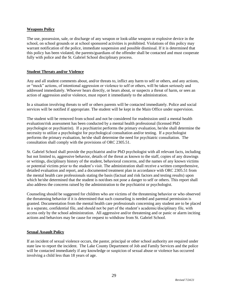# **Weapons Policy**

The use, possession, sale, or discharge of any weapon or look-alike weapon or explosive device in the school, on school grounds or at school sponsored activities is prohibited. Violations of this policy may warrant notification of the police, immediate suspension and possible dismissal. If it is determined that this policy has been violated, the parents/guardians of the offender shall be contacted and must cooperate fully with police and the St. Gabriel School disciplinary process.

# **Student Threats and/or Violence**

Any and all student comments about, and/or threats to, inflict any harm to self or others, and any actions, or "mock" actions, of intentional aggression or violence to self or others, will be taken seriously and addressed immediately. Whoever hears directly, or hears about, or suspects a threat of harm, or sees an action of aggression and/or violence, must report it immediately to the administration.

In a situation involving threats to self or others parents will be contacted immediately. Police and social services will be notified if appropriate. The student will be kept in the Main Office under supervision.

The student will be removed from school and not be considered for readmission until a mental health evaluation/risk assessment has been conducted by a mental health professional (licensed PhD psychologist or psychiatrist). If a psychiatrist performs the primary evaluation, he/she shall determine the necessity to utilize a psychologist for psychological consultation and/or testing. If a psychologist performs the primary evaluation, he/she shall determine the need for psychiatric consultation. The consultation shall comply with the provisions of ORC 2305.51.

St. Gabriel School shall provide the psychiatrist and/or PhD psychologist with all relevant facts, including but not limited to, aggressive behavior, details of the threat as known to the staff, copies of any drawings or writings, disciplinary history of the student, behavioral concerns, and the names of any known victims or potential victims prior to the student's visit. The administration shall receive a written comprehensive, detailed evaluation and report, and a documented treatment plan in accordance with ORC 2305.51 from the mental health care professionals stating the basis (factual and risk factors and testing results) upon which he/she determined that the student is not/does not pose a danger to self or others. This report shall also address the concerns raised by the administration to the psychiatrist or psychologist.

Counseling should be suggested for children who are victims of the threatening behavior or who observed the threatening behavior if it is determined that such counseling is needed and parental permission is granted. Documentation from the mental health care professionals concerning any student are to be placed in a separate, confidential file, and should not be part of the student's academic/disciplinary file, with access only by the school administration. All aggressive and/or threatening and or panic or alarm inciting actions and behaviors may be cause for request to withdraw from St. Gabriel School.

#### **Sexual Assault Policy**

If an incident of sexual violence occurs, the pastor, principal or other school authority are required under state law to report the incident. The Lake County Department of Job and Family Services and the police will be contacted immediately if any knowledge or suspicion of sexual abuse or violence has occurred involving a child less than 18 years of age.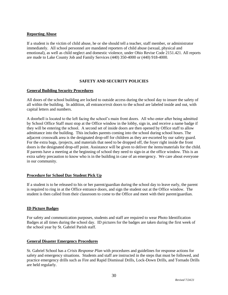# **Reporting Abuse**

If a student is the victim of child abuse, he or she should tell a teacher, staff member, or administrator immediately. All school personnel are mandated reporters of child abuse (sexual, physical and emotional), as well as child neglect and domestic violence, under Ohio Revise Code 2151.421. All reports are made to Lake County Job and Family Services (440) 350-4000 or (440) 918-4000.

# **SAFETY AND SECURITY POLICIES**

# **General Building Security Procedures**

All doors of the school building are locked to outside access during the school day to insure the safety of all within the building. In addition, all entrance/exit doors to the school are labeled inside and out, with capital letters and numbers.

A doorbell is located to the left facing the school's main front doors. All who enter after being admitted by School Office Staff must stop at the Office window in the lobby, sign in, and receive a name badge if they will be entering the school. A second set of inside doors are then opened by Office staff to allow admittance into the building. This includes parents coming into the school during school hours. The adjacent crosswalk area is the designated drop-off for children as they are escorted by our safety guard. For the extra bags, /projects, and materials that need to be dropped off, the foyer right inside the front doors is the designated drop-off point. Assistance will be given to deliver the items/materials for the child. If parents have a meeting at the beginning of school they need to sign-in at the office window. This is an extra safety precaution to know who is in the building in case of an emergency. We care about everyone in our community.

# **Procedure for School Day Student Pick Up**

If a student is to be released to his or her parent/guardian during the school day to leave early, the parent is required to ring in at the Office entrance doors, and sign the student out at the Office window. The student is then called from their classroom to come to the Office and meet with their parent/guardian.

# **ID Picture Badges**

For safety and communication purposes, students and staff are required to wear Photo Identification Badges at all times during the school day. ID pictures for the badges are taken during the first week of the school year by St. Gabriel Parish staff.

# **General Disaster Emergency Procedures**

St. Gabriel School has a *Crisis Response Plan* with procedures and guidelines for response actions for safety and emergency situations. Students and staff are instructed in the steps that must be followed, and practice emergency drills such as Fire and Rapid Dismissal Drills, Lock-Down Drills, and Tornado Drills are held regularly.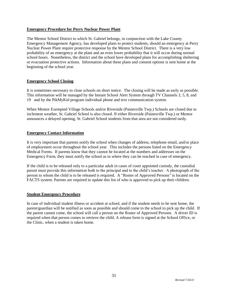# **Emergency Procedure for Perry Nuclear Power Plant**

The Mentor School District to which St. Gabriel belongs, in conjunction with the Lake County Emergency Management Agency, has developed plans to protect students, should an emergency at Perry Nuclear Power Plant require protective response by the Mentor School District. There is a very low probability of an emergency at the plant and an even lower probability that it will occur during normal school hours. Nonetheless, the district and the school have developed plans for accomplishing sheltering or evacuation protective actions. Information about these plans and consent options is sent home at the beginning of the school year.

# **Emergency School Closing**

It is sometimes necessary to close schools on short notice. The closing will be made as early as possible. This information will be managed by the Instant School Alert System through TV Channels 3, 5, 8, and 19 and by the PikMyKid program individual phone and text communication system.

When Mentor Exempted Village Schools and/or Riverside (Painesville Twp.) Schools are closed due to inclement weather, St. Gabriel School is also closed. If either Riverside (Painesville Twp.) or Mentor announces a delayed opening, St. Gabriel School students from that area are not considered tardy.

# **Emergency Contact Information**

It is very important that parents notify the school when changes of address, telephone email, and/or place of employment occur throughout the school year. This includes the persons listed on the Emergency Medical Forms. If parents know that they cannot be located at the numbers and addresses on the Emergency Form, they must notify the school as to where they can be reached in case of emergency.

If the child is to be released only to a particular adult in cases of court appointed custody, the custodial parent must provide this information both to the principal and to the child's teacher. A photograph of the person to whom the child is to be released is required. A "Roster of Approved Persons" is located on the FACTS system. Parents are required to update this list of who is approved to pick up their children.

# **Student Emergency Procedure**

In case of individual student illness or accident at school, and if the student needs to be sent home, the parent/guardian will be notified as soon as possible and should come to the school to pick up the child. If the parent cannot come, the school will call a person on the Roster of Approved Persons. A driver ID is required when that person comes to retrieve the child. A release form is signed at the School Office, or the Clinic, when a student is taken home.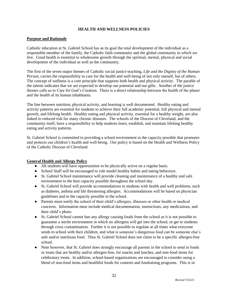# **HEALTH AND WELLNESS POLICIES**

#### **Purpose and Rationale**

Catholic education at St. Gabriel School has as its goal the total development of the individual as a responsible member of the family, the Catholic faith community and the global community in which we live. Good health is essential to wholesome growth through the spiritual, mental, physical and social development of the individual as well as the community.

The first of the seven major themes of Catholic social justice teaching, *Life and the Dignity of the Human Person*, carries the responsibility to care for the health and well-being of not only oneself, but of others. The concept of wellness is a core principle that supports both health and physical activity. The parable of the talents indicates that we are expected to develop our potential and our gifts. Another of the justice themes calls us to Care for God's Creation. There is a direct relationship between the health of the planet and the health of its human inhabitants.

The line between nutrition, physical activity, and learning is well documented. Healthy eating and activity patterns are essential for students to achieve their full academic potential, full physical and mental growth, and lifelong health. Healthy eating and physical activity, essential for a healthy weight, are also linked to reduced risk for many chronic diseases. The schools of the Diocese of Cleveland, and the community itself, have a responsibility to help students learn, establish, and maintain lifelong healthy eating and activity patterns.

St. Gabriel School is committed to providing a school environment to the capacity possible that promotes and protects our children's health and well-being. Our policy is based on the Health and Wellness Policy of the Catholic Diocese of Cleveland.

# **General Health and Allergy Policy**

- All students will have opportunities to be physically active on a regular basis.
- School Staff will be encouraged to role model healthy habits and eating behaviors.
- St. Gabriel School maintenance will provide cleaning and maintenance of a healthy and safe environment to the best capacity possible throughout the school day.
- St. Gabriel School will provide accommodations to students with health and well problems, such as diabetes, asthma and life threatening allergies. Accommodations will be based on physician guidelines and to the capacity possible in the school.
- Parents must notify the school of their child's allergies, illnesses or other health or medical concerns. Information must include medical documentation, instructions, any medications, and their child's photo.
- St. Gabriel School cannot ban any allergy causing foods from the school as it is not possible to guarantee a sterile environment in which no allergens will get into the school, or get to students through cross contamination. Further it is not possible to regulate at all times what everyone sends to school with their children, and what is someone's dangerous food can be someone else's safe and/or nutritious food. Thus St. Gabriel School does not claim to be a specific allergen-free school.
- Note however, that St. Gabriel does strongly encourage all parents in the school to send in foods or treats that are healthy and/or allergen-free, for snacks and lunches, and non-food items for celebratory treats. In addition, school-based organizations are encouraged to consider using a blend of non-food items and healthful foods for contests and fundraising programs. This is in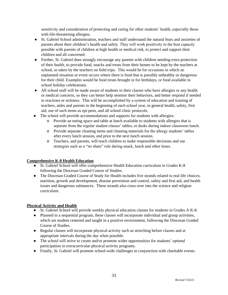sensitivity and consideration of protecting and caring for other students' health, especially those with life-threatening allergies.

- St. Gabriel School administration, teachers and staff understand the natural fears and anxieties of parents about their children's health and safety. They will work positively to the best capacity possible with parents of children at high health or medical risk, to protect and support their children and all concerned.
- Further, St. Gabriel does strongly encourage any parents with children needing extra protection of their health, to provide food, snacks and treats from their homes to be kept by the teachers at school, or taken by the teachers on field trips. This would be for occasions in which an unplanned situation or event occurs where there is food that is possibly unhealthy or dangerous for their child. Examples would be food treats brought in for birthdays, or food available in school holiday celebrations.
- All school staff will be made aware of students in their classes who have allergies or any health or medical concerns, so they can better help monitor their behaviors, and better respond if needed to reactions or sickness. This will be accomplished by a system of education and training of teachers, aides and parents in the beginning of each school year, in general health, safety, first aid, use of such items as epi-pens, and all school clinic protocols.
- The school will provide accommodations and supports for students with allergies:
	- o Provide an eating space and table at lunch available to students with allergies that is separate from the regular student classes' tables, or desks during indoor classroom lunch.
	- o Provide separate cleaning items and cleaning materials for the allergy students' tables after every lunch session, and prior to the next lunch session.
	- o Teachers, and parents, will teach children to make responsible decisions and use strategies such as a "no share" rule during snack, lunch and other times.

# **Comprehensive K-8 Health Education**

- St. Gabriel School will offer comprehensive Health Education curriculum in Grades K-8 following the Diocesan Graded Course of Studies.
- The Diocesan Graded Course of Study for Health includes five strands related to real life choices; nutrition, growth and development, disease prevention and control, safety and first aid, and health issues and dangerous substances. These strands also cross over into the science and religion curriculum.

# **Physical Activity and Health**

- St. Gabriel School will provide weekly physical education classes for students in Grades Jr K-8.
- Planned in a sequential program, these classes will incorporate individual and group activities, which are student centered and taught in a positive environment, following the Diocesan Graded Course of Studies.
- Regular classes will incorporate physical activity such as stretching before classes and at appropriate intervals during the day when possible.
- The school will strive to create and/or promote wider opportunities for students' optimal participation in extracurricular physical activity programs.
- Finally, St. Gabriel will promote school-wide challenges in conjunction with charitable events.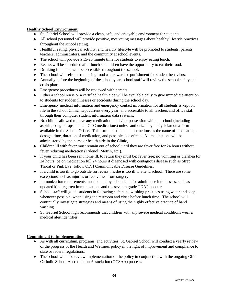# **Healthy School Environment**

- St. Gabriel School will provide a clean, safe, and enjoyable environment for students.
- All school personnel will provide positive, motivating messages about healthy lifestyle practices throughout the school setting.
- Healthful eating, physical activity, and healthy lifestyle will be promoted to students, parents, teachers, administrators, and the community at school events.
- The school will provide a 15-20 minute time for students to enjoy eating lunch.
- Recess will be scheduled after lunch so children have the opportunity to eat their food.
- Drinking fountains will be accessible throughout the school.
- The school will refrain from using food as a reward or punishment for student behaviors.
- Annually before the beginning of the school year, school staff will review the school safety and crisis plans.
- Emergency procedures will be reviewed with parents.
- Either a school nurse or a certified health aide will be available daily to give immediate attention to students for sudden illnesses or accidents during the school day.
- Emergency medical information and emergency contact information for all students is kept on file in the school Clinic, kept current every year, and accessible to all teachers and office staff through their computer student information data systems.
- No child is allowed to have any medication in his/her possession while in school (including aspirin, cough drops, and all OTC medications) unless authorized by a physician on a form available in the School Office. This form must include instructions as the name of medication, dosage, time, duration of medication, and possible side effects. All medications will be administered by the nurse or health aide in the Clinic,
- Children ill with fever must remain out of school until they are fever free for 24 hours without fever reducing medication (Tylenol, Motrin, etc.).
- If your child has been sent home ill, to return they must be: fever free; no vomiting or diarrhea for 24 hours; be on medication full 24 hours if diagnosed with contagious disease such as Strep Throat or Pink Eye; follow ODH Communicable Disease Guidelines.
- If a child is too ill to go outside for recess, he/she is too ill to attend school. There are some exceptions such as injuries or recoveries from surgery.
- Immunization requirements must be met by all students for admittance into classes, such as updated kindergarten immunizations and the seventh grade TDAP booster.
- School staff will guide students in following safe hand washing practices using water and soap whenever possible, when using the restroom and close before lunch time. The school will continually investigate strategies and means of using the highly effective practice of hand washing.
- St. Gabriel School high recommends that children with any severe medical conditions wear a medical alert identifier.

# **Commitment to Implementation**

- As with all curriculum, programs, and activities, St. Gabriel School will conduct a yearly review of the progress of the Health and Wellness policy in the light of improvement and compliance to state or federal regulations.
- The school will also review implementation of the policy in conjunction with the ongoing Ohio Catholic School Accreditation Association (OCSAA) process.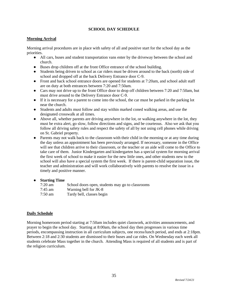# **SCHOOL DAY SCHEDULE**

# **Morning Arrival**

Morning arrival procedures are in place with safety of all and positive start for the school day as the priorities.

- All cars, buses and student transportation vans enter by the driveway between the school and church.
- Buses drop children off at the front Office entrance of the school building.
- Students being driven to school as car riders must be driven around to the back (north) side of school and dropped off at the back Delivery Entrance door C-9.
- Front and back school entrance doors are opened for students at 7:20am, and school adult staff are on duty at both entrances between 7:20 and 7:50am.
- Cars may not drive up to the front Office door to drop off children between 7:20 and 7:50am, but must drive around to the Delivery Entrance door C-9.
- If it is necessary for a parent to come into the school, the car must be parked in the parking lot near the church.
- Students and adults must follow and stay within marked coned walking areas, and use the designated crosswalk at all times.
- Above all, whether parents are driving anywhere in the lot, or walking anywhere in the lot, they must be extra alert, go slow, follow directions and signs, and be courteous. Also we ask that you follow all driving safety rules and respect the safety of all by not using cell phones while driving on St. Gabriel property.
- Parents may not walk back to the classroom with their child in the morning or at any time during the day unless an appointment has been previously arranged. If necessary, someone in the Office will see that children arrive to their classroom, or the teacher or an aide will come to the Office to take care of them. Junior Kindergarten and kindergarten has a special system for morning arrival the first week of school to make it easier for the new little ones, and other students new to the school will also have a special system the first week. If there is parent-child separation issue, the teacher and administration and will work collaboratively with parents to resolve the issue in a timely and positive manner.

# ● **Starting Time**

| $7:20$ am | School doors open, students may go to classrooms |
|-----------|--------------------------------------------------|
| 7:45 am   | Warning bell for JK-8                            |
| $7:50$ am | Tardy bell, classes begin                        |

# **Daily Schedule**

Morning homeroom period starting at 7:50am includes quiet classwork, activities announcements, and prayer to begin the school day. Starting at 8:00am, the school day then progresses in various time periods, encompassing instruction in all curriculum subjects, one recess/lunch period, and ends at 2:18pm. Between 2:18 and 2:30 students are dismissed to their buses and car rides. On Wednesday each week all students celebrate Mass together in the church. Attending Mass is required of all students and is part of the religion curriculum.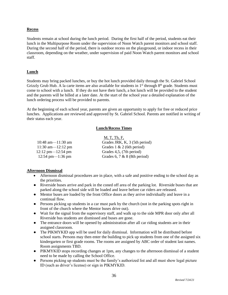# **Recess**

Students remain at school during the lunch period. During the first half of the period, students eat their lunch in the Multipurpose Room under the supervision of Noon Watch parent monitors and school staff. During the second half of the period, there is outdoor recess on the playground, or indoor recess in their classroom, depending on the weather, under supervision of paid Noon Watch parent monitors and school staff.

# **Lunch**

Students may bring packed lunches, or buy the hot lunch provided daily through the St. Gabriel School Grizzly Grub Hub. A la carte items are also available for students in  $1<sup>st</sup>$  through  $8<sup>th</sup>$  grade. Students must come to school with a lunch. If they do not have their lunch, a hot lunch will be provided to the student and the parents will be billed at a later date. At the start of the school year a detailed explanation of the lunch ordering process will be provided to parents.

At the beginning of each school year, parents are given an opportunity to apply for free or reduced price lunches. Applications are reviewed and approved by St. Gabriel School. Parents are notified in writing of their status each year.

# **Lunch/Recess Times**

|                                       | M, T, Th, F,                  |
|---------------------------------------|-------------------------------|
| 10:48 am $-11:30$ am                  | Grades JRK, K, 3 (5th period) |
| 11:30 am— $-12:12$ pm                 | Grades $1 \& 2$ (6th period)  |
| $12:12 \text{ pm} - 12:54 \text{ pm}$ | Grades 4,5, (7th period)      |
| $12:54 \text{ pm} - 1:36 \text{ pm}$  | Grades 6, 7 & 8 (8th period)  |

# **Afternoon Dismissal**

- Afternoon dismissal procedures are in place, with a safe and positive ending to the school day as the priorities.
- Riverside buses arrive and park in the coned off area of the parking lot. Riverside buses that are parked along the school side will be loaded and leave before car riders are released.
- Mentor buses are loaded by the front Office doors as they arrive individually and leave in a continual flow.
- Persons picking up students in a car must park by the church (not in the parking spots right in front of the church where the Mentor buses drive out).
- Wait for the signal from the supervisory staff, and walk up to the side MPR door only after all Riverside bus students are dismissed and buses are gone.
- The entrance doors will be opened by administration after all car riding students are in their assigned classroom.
- The PIKMYKID app will be used for daily dismissal. Information will be distributed before school starts. Persons may then enter the building to pick up students from one of the assigned six kindergarten or first grade rooms. The rooms are assigned by ABC order of student last names. Room assignments TBD.
- PIKMYKID stops recording changes at 1pm, any changes to the afternoon dismissal of a student need to be made by calling the School Office.
- Persons picking up students must be the family's authorized list and all must show legal picture ID (such as driver's license) or sign in PIKMYKID.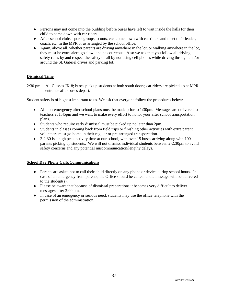- Persons may not come into the building before buses have left to wait inside the halls for their child to come down with car riders.
- After-school clubs, sports groups, scouts, etc. come down with car riders and meet their leader, coach, etc. in the MPR or as arranged by the school office.
- Again, above all, whether parents are driving anywhere in the lot, or walking anywhere in the lot, they must be extra alert, go slow, and be courteous. Also we ask that you follow all driving safety rules by and respect the safety of all by not using cell phones while driving through and/or around the St. Gabriel drives and parking lot.

# **Dismissal Time**

2:30 pm— All Classes JK-8; buses pick up students at both south doors; car riders are picked up at MPR entrance after buses depart.

Student safety is of highest important to us. We ask that everyone follow the procedures below:

- All non-emergency after school plans must be made prior to 1:30pm. Messages are delivered to teachers at 1:45pm and we want to make every effort to honor your after school transportation plans.
- Students who require early dismissal must be picked up no later than 2pm.
- Students in classes coming back from field trips or finishing other activities with extra parent volunteers must go home in their regular or pre-arranged transportation.
- $\bullet$  2-2:30 is a high peak activity time at our school, with over 15 buses arriving along with 100 parents picking up students. We will not dismiss individual students between 2-2:30pm to avoid safety concerns and any potential miscommunication/lengthy delays.

# **School Day Phone Calls/Communications**

- Parents are asked not to call their child directly on any phone or device during school hours. In case of an emergency from parents, the Office should be called, and a message will be delivered to the student(s).
- Please be aware that because of dismissal preparations it becomes very difficult to deliver messages after 2:00 pm.
- In case of an emergency or serious need, students may use the office telephone with the permission of the administration.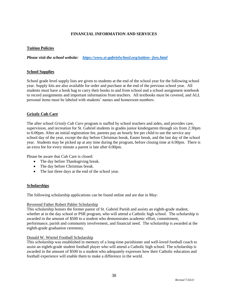# **FINANCIAL INFORMATION AND SERVICES**

# **Tuition Policies**

*Please visit the school website: <https://www.st-gabrielschool.org/tuition--fees.html>*

# **School Supplies**

School grade level supply lists are given to students at the end of the school year for the following school year. Supply kits are also available for order and purchase at the end of the previous school year. All students must have a book bag to carry their books to and from school and a school assignment notebook to record assignments and important information from teachers. All textbooks must be covered, and ALL personal items must be labeled with students' names and homeroom numbers.

# **Grizzly Cub Care**

The after school *Grizzly Cub Care* program is staffed by school teachers and aides, and provides care, supervision, and recreation for St. Gabriel students in grades junior kindergarten through six from 2:30pm to 6:00pm. After an initial registration fee, parents pay an hourly fee per child to use the service any school day of the year, except the day before Christmas break, Easter break, and the last day of the school year. Students may be picked up at any time during the program, before closing time at 6:00pm. There is an extra fee for every minute a parent is late after 6:00pm.

Please be aware that Cub Care is closed:

- The day before Thanksgiving break.
- The day before Christmas break.
- The last three days at the end of the school year.

# **Scholarships**

The following scholarship applications can be found online and are due in May:

# Reverend [Father Robert Pahler Scholarship](http://www.st-gabrielschool.org/pdf-files/scholarship_forms/2015/Pahler%20scholarship%20application.2015.pdf)

This scholarship honors the former pastor of St. Gabriel Parish and assists an eighth-grade student, whether at in the day school or PSR program, who will attend a Catholic high school. The scholarship is awarded in the amount of \$500 to a student who demonstrates academic effort, commitment, performance, parish and community involvement, and financial need. The scholarship is awarded at the eighth-grade graduation ceremony.

# [Donald W. Wiertel Football Scholarship](http://www.st-gabrielschool.org/pdf-files/scholarship_forms/2015/Wiertel%20scholarship%20application.2015.pdf)

This scholarship was established in memory of a long-time parishioner and well-loved football coach to assist an eighth-grade student football player who will attend a Catholic high school. The scholarship is awarded in the amount of \$500 to a student who adequately expresses how their Catholic education and football experience will enable them to make a difference in the world.